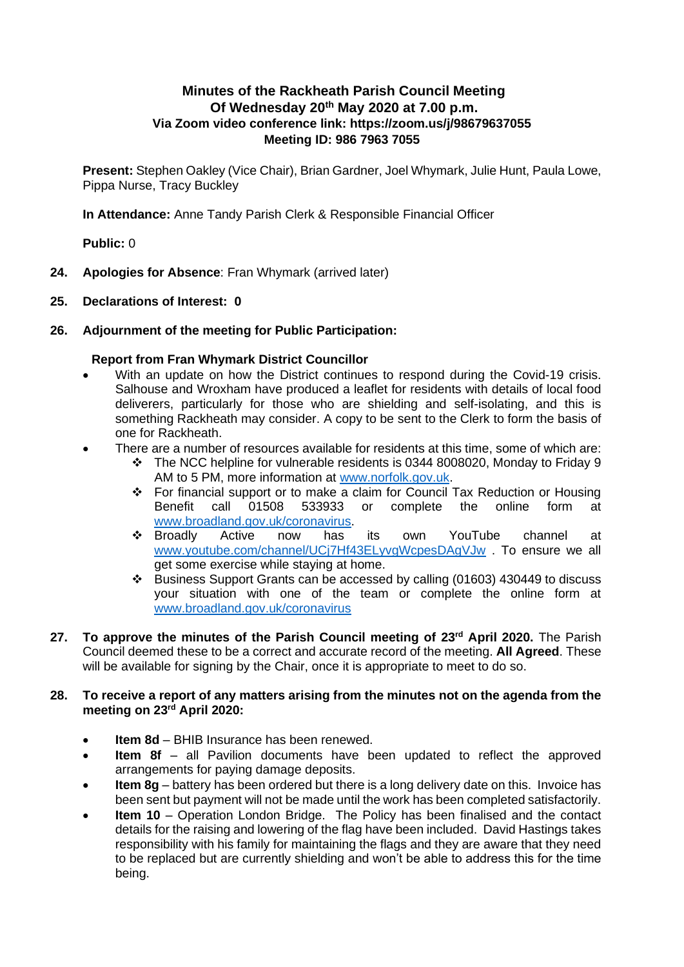# **Minutes of the Rackheath Parish Council Meeting Of Wednesday 20 th May 2020 at 7.00 p.m. Via Zoom video conference link: https://zoom.us/j/98679637055 Meeting ID: 986 7963 7055**

**Present:** Stephen Oakley (Vice Chair), Brian Gardner, Joel Whymark, Julie Hunt, Paula Lowe, Pippa Nurse, Tracy Buckley

**In Attendance:** Anne Tandy Parish Clerk & Responsible Financial Officer

**Public:** 0

- **24. Apologies for Absence**: Fran Whymark (arrived later)
- **25. Declarations of Interest: 0**

### **26. Adjournment of the meeting for Public Participation:**

## **Report from Fran Whymark District Councillor**

- With an update on how the District continues to respond during the Covid-19 crisis. Salhouse and Wroxham have produced a leaflet for residents with details of local food deliverers, particularly for those who are shielding and self-isolating, and this is something Rackheath may consider. A copy to be sent to the Clerk to form the basis of one for Rackheath.
- There are a number of resources available for residents at this time, some of which are:
	- ❖ The NCC helpline for vulnerable residents is 0344 8008020, Monday to Friday 9 AM to 5 PM, more information at [www.norfolk.gov.uk.](http://www.norfolk.gov.uk/)
	- ❖ For financial support or to make a claim for Council Tax Reduction or Housing Benefit call 01508 533933 or complete the online form at [www.broadland.gov.uk/coronavirus.](http://www.broadland.gov.uk/coronavirus)
	- ❖ Broadly Active now has its own YouTube channel at [www.youtube.com/channel/UCj7Hf43ELyvgWcpesDAgVJw](http://www.youtube.com/channel/UCj7Hf43ELyvgWcpesDAgVJw) . To ensure we all get some exercise while staying at home.
	- ❖ Business Support Grants can be accessed by calling (01603) 430449 to discuss your situation with one of the team or complete the online form at [www.broadland.gov.uk/coronavirus](http://www.broadland.gov.uk/coronavirus)
- **27. To approve the minutes of the Parish Council meeting of 23rd April 2020.** The Parish Council deemed these to be a correct and accurate record of the meeting. **All Agreed**. These will be available for signing by the Chair, once it is appropriate to meet to do so.

### **28. To receive a report of any matters arising from the minutes not on the agenda from the meeting on 23rd April 2020:**

- **Item 8d** BHIB Insurance has been renewed.
- **Item 8f** all Pavilion documents have been updated to reflect the approved arrangements for paying damage deposits.
- **Item 8g** battery has been ordered but there is a long delivery date on this. Invoice has been sent but payment will not be made until the work has been completed satisfactorily.
- **Item 10** Operation London Bridge. The Policy has been finalised and the contact details for the raising and lowering of the flag have been included. David Hastings takes responsibility with his family for maintaining the flags and they are aware that they need to be replaced but are currently shielding and won't be able to address this for the time being.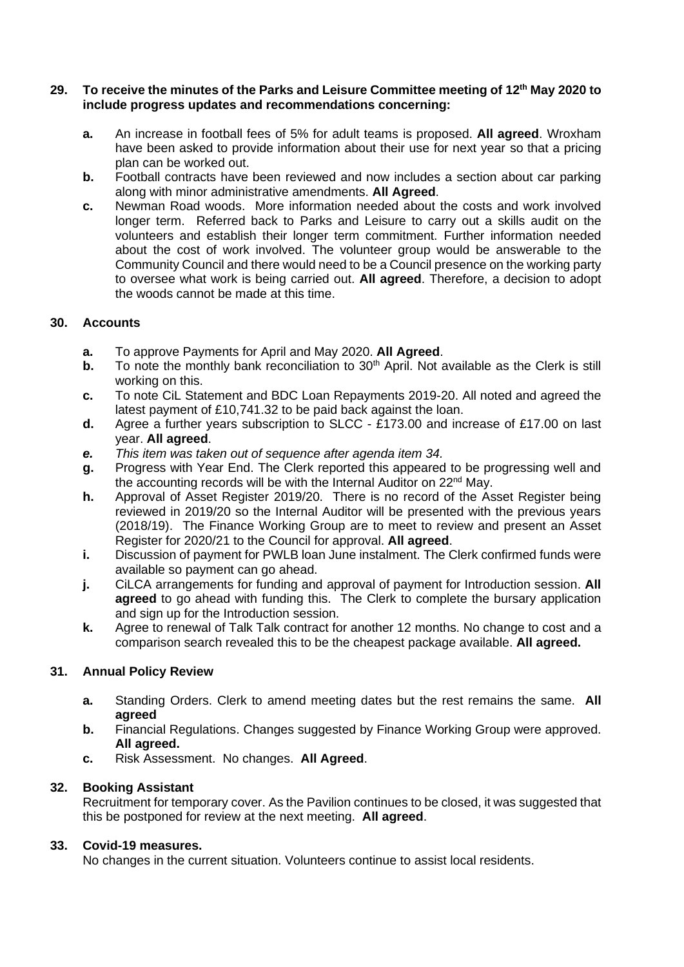#### **29. To receive the minutes of the Parks and Leisure Committee meeting of 12th May 2020 to include progress updates and recommendations concerning:**

- **a.** An increase in football fees of 5% for adult teams is proposed. **All agreed**. Wroxham have been asked to provide information about their use for next year so that a pricing plan can be worked out.
- **b.** Football contracts have been reviewed and now includes a section about car parking along with minor administrative amendments. **All Agreed**.
- **c.** Newman Road woods. More information needed about the costs and work involved longer term. Referred back to Parks and Leisure to carry out a skills audit on the volunteers and establish their longer term commitment. Further information needed about the cost of work involved. The volunteer group would be answerable to the Community Council and there would need to be a Council presence on the working party to oversee what work is being carried out. **All agreed**. Therefore, a decision to adopt the woods cannot be made at this time.

## **30. Accounts**

- **a.** To approve Payments for April and May 2020. **All Agreed**.
- **b.** To note the monthly bank reconciliation to 30<sup>th</sup> April. Not available as the Clerk is still working on this.
- **c.** To note CiL Statement and BDC Loan Repayments 2019-20. All noted and agreed the latest payment of £10,741.32 to be paid back against the loan.
- **d.** Agree a further years subscription to SLCC £173.00 and increase of £17.00 on last year. **All agreed**.
- *e. This item was taken out of sequence after agenda item 34.*
- **g.** Progress with Year End. The Clerk reported this appeared to be progressing well and the accounting records will be with the Internal Auditor on 22<sup>nd</sup> May.
- **h.** Approval of Asset Register 2019/20. There is no record of the Asset Register being reviewed in 2019/20 so the Internal Auditor will be presented with the previous years (2018/19). The Finance Working Group are to meet to review and present an Asset Register for 2020/21 to the Council for approval. **All agreed**.
- **i.** Discussion of payment for PWLB loan June instalment. The Clerk confirmed funds were available so payment can go ahead.
- **j.** CiLCA arrangements for funding and approval of payment for Introduction session. **All agreed** to go ahead with funding this. The Clerk to complete the bursary application and sign up for the Introduction session.
- **k.** Agree to renewal of Talk Talk contract for another 12 months. No change to cost and a comparison search revealed this to be the cheapest package available. **All agreed.**

## **31. Annual Policy Review**

- **a.** Standing Orders. Clerk to amend meeting dates but the rest remains the same. **All agreed**
- **b.** Financial Regulations. Changes suggested by Finance Working Group were approved. **All agreed.**
- **c.** Risk Assessment. No changes. **All Agreed**.

## **32. Booking Assistant**

Recruitment for temporary cover. As the Pavilion continues to be closed, it was suggested that this be postponed for review at the next meeting. **All agreed**.

### **33. Covid-19 measures.**

No changes in the current situation. Volunteers continue to assist local residents.